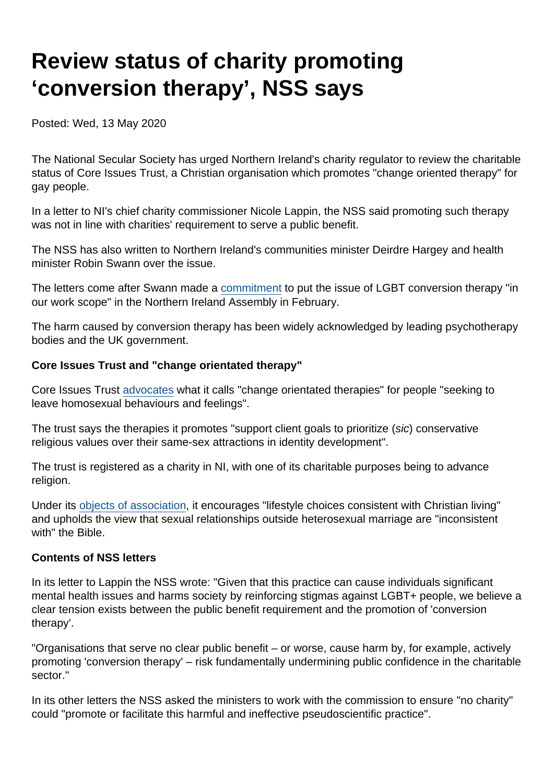# Review status of charity promoting 'conversion therapy', NSS says

Posted: Wed, 13 May 2020

The National Secular Society has urged Northern Ireland's charity regulator to review the charitable status of Core Issues Trust, a Christian organisation which promotes "change oriented therapy" for gay people.

In a letter to NI's chief charity commissioner Nicole Lappin, the NSS said promoting such therapy was not in line with charities' requirement to serve a public benefit.

The NSS has also written to Northern Ireland's communities minister Deirdre Hargey and health minister Robin Swann over the issue.

The letters come after Swann made a [commitment](https://www.theyworkforyou.com/ni/?id=2020-02-10.6.19) to put the issue of LGBT conversion therapy "in our work scope" in the Northern Ireland Assembly in February.

The harm caused by conversion therapy has been widely acknowledged by leading psychotherapy bodies and the UK government.

Core Issues Trust and "change orientated therapy"

Core Issues Trust [advocates](https://www.core-issues.org/change-oriented-therapy) what it calls "change orientated therapies" for people "seeking to leave homosexual behaviours and feelings".

The trust says the therapies it promotes "support client goals to prioritize (sic) conservative religious values over their same-sex attractions in identity development".

The trust is registered as a charity in NI, with one of its charitable purposes being to advance religion.

Under its [objects of association](https://www.core-issues.org/objects-of-association), it encourages "lifestyle choices consistent with Christian living" and upholds the view that sexual relationships outside heterosexual marriage are "inconsistent with" the Bible.

#### Contents of NSS letters

In its letter to Lappin the NSS wrote: "Given that this practice can cause individuals significant mental health issues and harms society by reinforcing stigmas against LGBT+ people, we believe a clear tension exists between the public benefit requirement and the promotion of 'conversion therapy'.

"Organisations that serve no clear public benefit – or worse, cause harm by, for example, actively promoting 'conversion therapy' – risk fundamentally undermining public confidence in the charitable sector."

In its other letters the NSS asked the ministers to work with the commission to ensure "no charity" could "promote or facilitate this harmful and ineffective pseudoscientific practice".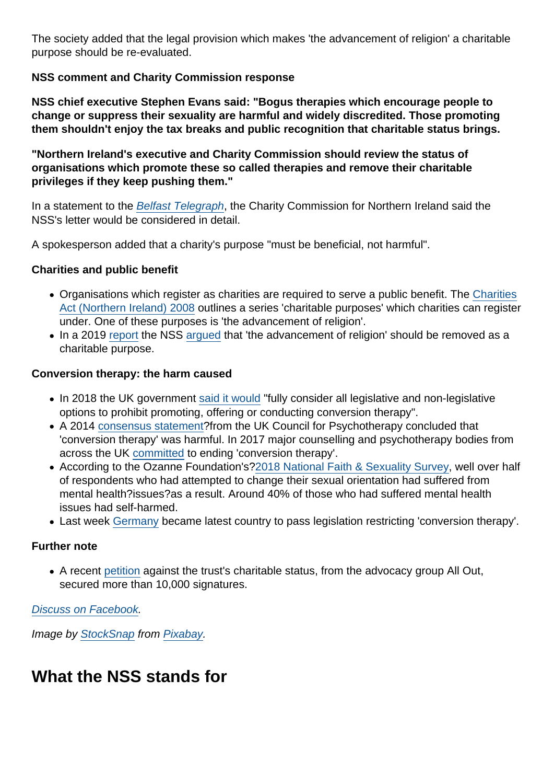The society added that the legal provision which makes 'the advancement of religion' a charitable purpose should be re-evaluated.

NSS comment and Charity Commission response

NSS chief executive Stephen Evans said: "Bogus therapies which encourage people to change or suppress their sexuality are harmful and widely discredited. Those promoting them shouldn't enjoy the tax breaks and public recognition that charitable status brings.

"Northern Ireland's executive and Charity Commission should review the status of organisations which promote these so called therapies and remove their charitable privileges if they keep pushing them."

In a statement to the [Belfast Telegraph,](https://www.belfasttelegraph.co.uk/news/northern-ireland/complaint-over-charity-status-of-gay-conversion-group-core-issues-trust-in-northern-ireland-39201914.html) the Charity Commission for Northern Ireland said the NSS's letter would be considered in detail.

A spokesperson added that a charity's purpose "must be beneficial, not harmful".

Charities and public benefit

- Organisations which register as charities are required to serve a public benefit. The [Charities](http://www.legislation.gov.uk/nia/2008/12/section/2) [Act \(Northern Ireland\) 2008](http://www.legislation.gov.uk/nia/2008/12/section/2) outlines a series 'charitable purposes' which charities can register under. One of these purposes is 'the advancement of religion'.
- In a 2019 [report](https://www.secularism.org.uk/uploads/nss-advancement-of-religion-charity-report-(electronic).pdf) the NSS [argued](https://www.secularism.org.uk/news/2019/03/over-12000-charities-exist-only-to-promote-religion-nss-reveals) that 'the advancement of religion' should be removed as a charitable purpose.

Conversion therapy: the harm caused

- In 2018 the UK government [said it would](https://www.secularism.org.uk/news/2018/07/nss-welcomes-government-plan-to-ban-lgbt-conversion-therapy) "fully consider all legislative and non-legislative options to prohibit promoting, offering or conducting conversion therapy".
- A 2014 [consensus statement?](https://www.secularism.org.uk/uploads/uk-council-for-psychotherapy-consensus-statement-on-conversion-therapy.pdf?v=1502895374)from the UK Council for Psychotherapy concluded that 'conversion therapy' was harmful. In 2017 major counselling and psychotherapy bodies from across the UK [committed](https://www.secularism.org.uk/uploads/memorandum-of-understanding-on-conversion-therapy-(2017).pdf?v=1516266672) to ending 'conversion therapy'.
- According to the Ozanne Foundation's[?2018 National Faith & Sexuality Survey,](https://ozanne.foundation/faith-sexuality-survey-2018/) well over half of respondents who had attempted to change their sexual orientation had suffered from mental health?issues?as a result. Around 40% of those who had suffered mental health issues had self-harmed.
- Last week [Germany](https://www.bbc.co.uk/news/world-europe-52585162) became latest country to pass legislation restricting 'conversion therapy'.

Further note

A recent [petition](https://action.allout.org/en/m/6a7443f2/) against the trust's charitable status, from the advocacy group All Out, secured more than 10,000 signatures.

[Discuss on Facebook.](https://www.facebook.com/NationalSecularSociety/posts/2971058809629117)

Image by [StockSnap](https://pixabay.com/users/StockSnap-894430/?utm_source=link-attribution&utm_medium=referral&utm_campaign=image&utm_content=2577925) from [Pixabay](https://pixabay.com/?utm_source=link-attribution&utm_medium=referral&utm_campaign=image&utm_content=2577925).

### What the NSS stands for